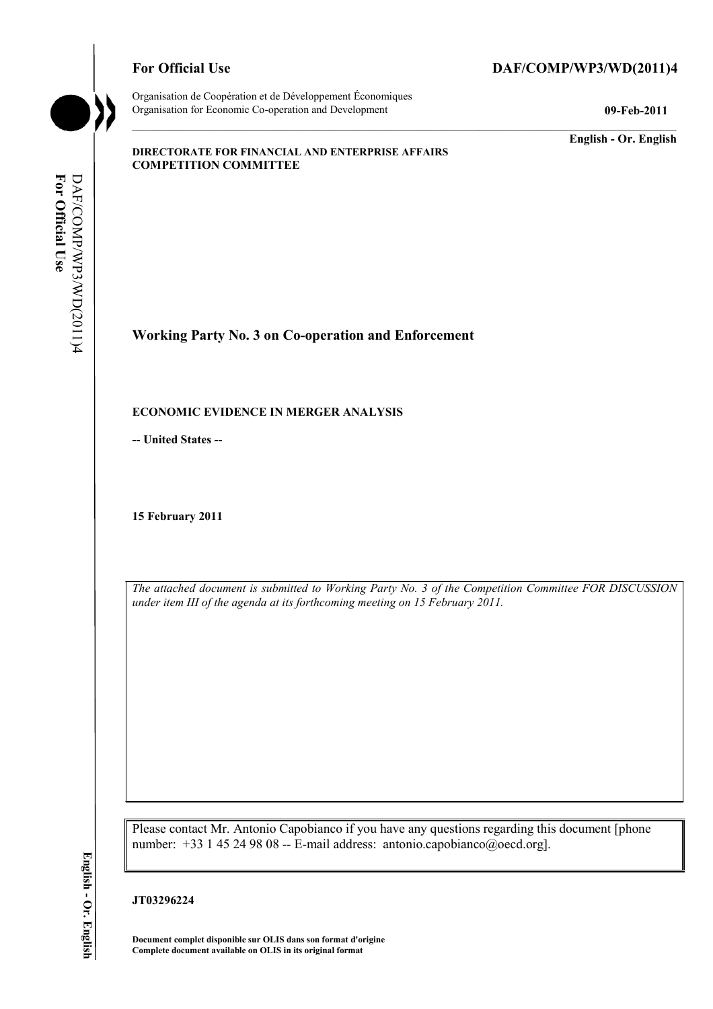# For Official Use DAF/COMP/WP3/WD(2011)4



Organisation de Coopération et de Développement Économiques Organisation for Economic Co-operation and Development **09-Feb-2011** 

**English - Or. English** 

#### **DIRECTORATE FOR FINANCIAL AND ENTERPRISE AFFAIRS COMPETITION COMMITTEE**

**Working Party No. 3 on Co-operation and Enforcement** 

## **ECONOMIC EVIDENCE IN MERGER ANALYSIS**

**-- United States --**

**15 February 2011** 

*The attached document is submitted to Working Party No. 3 of the Competition Committee FOR DISCUSSION under item III of the agenda at its forthcoming meeting on 15 February 2011.* 

Please contact Mr. Antonio Capobianco if you have any questions regarding this document [phone number: +33 1 45 24 98 08 -- E-mail address: antonio.capobianco@oecd.org].

#### **JT03296224**

 **Document complet disponible sur OLIS dans son format d'origine Complete document available on OLIS in its original format** 

English - Or. English **English - Or. English**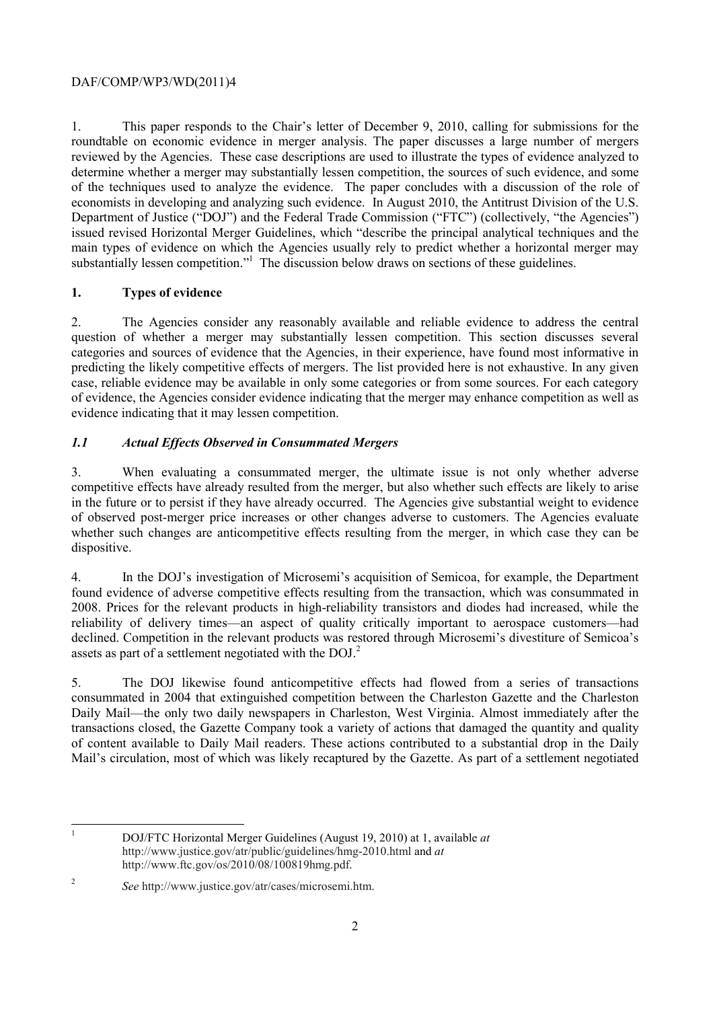economists in developing and analyzing such evidence. In August 2010, the Antitrust Division of the U.S. 1. This paper responds to the Chair's letter of December 9, 2010, calling for submissions for the roundtable on economic evidence in merger analysis. The paper discusses a large number of mergers reviewed by the Agencies. These case descriptions are used to illustrate the types of evidence analyzed to determine whether a merger may substantially lessen competition, the sources of such evidence, and some of the techniques used to analyze the evidence. The paper concludes with a discussion of the role of Department of Justice ("DOJ") and the Federal Trade Commission ("FTC") (collectively, "the Agencies") issued revised Horizontal Merger Guidelines, which "describe the principal analytical techniques and the main types of evidence on which the Agencies usually rely to predict whether a horizontal merger may substantially lessen competition."<sup>1</sup> The discussion below draws on sections of these guidelines.

# **1. Types of evidence**

 categories and sources of evidence that the Agencies, in their experience, have found most informative in evidence indicating that it may lessen competition. 2. The Agencies consider any reasonably available and reliable evidence to address the central question of whether a merger may substantially lessen competition. This section discusses several predicting the likely competitive effects of mergers. The list provided here is not exhaustive. In any given case, reliable evidence may be available in only some categories or from some sources. For each category of evidence, the Agencies consider evidence indicating that the merger may enhance competition as well as

# *1.1 Actual Effects Observed in Consummated Mergers*

 $\mathcal{E}$ When evaluating a consummated merger, the ultimate issue is not only whether adverse competitive effects have already resulted from the merger, but also whether such effects are likely to arise in the future or to persist if they have already occurred. The Agencies give substantial weight to evidence of observed post-merger price increases or other changes adverse to customers. The Agencies evaluate whether such changes are anticompetitive effects resulting from the merger, in which case they can be dispositive.

assets as part of a settlement negotiated with the  $DOL^2$ 4. In the DOJ's investigation of Microsemi's acquisition of Semicoa, for example, the Department found evidence of adverse competitive effects resulting from the transaction, which was consummated in 2008. Prices for the relevant products in high-reliability transistors and diodes had increased, while the reliability of delivery times—an aspect of quality critically important to aerospace customers—had declined. Competition in the relevant products was restored through Microsemi's divestiture of Semicoa's

5. The DOJ likewise found anticompetitive effects had flowed from a series of transactions consummated in 2004 that extinguished competition between the Charleston Gazette and the Charleston Daily Mail—the only two daily newspapers in Charleston, West Virginia. Almost immediately after the transactions closed, the Gazette Company took a variety of actions that damaged the quantity and quality of content available to Daily Mail readers. These actions contributed to a substantial drop in the Daily Mail's circulation, most of which was likely recaptured by the Gazette. As part of a settlement negotiated

 $\overline{a}$ 

<sup>1</sup> DOJ/FTC Horizontal Merger Guidelines (August 19, 2010) at 1, available *at*  http://www.justice.gov/atr/public/guidelines/hmg-2010.html and *at*  http://www.ftc.gov/os/2010/08/100819hmg.pdf.

<sup>2</sup>*See* http://www.justice.gov/atr/cases/microsemi.htm.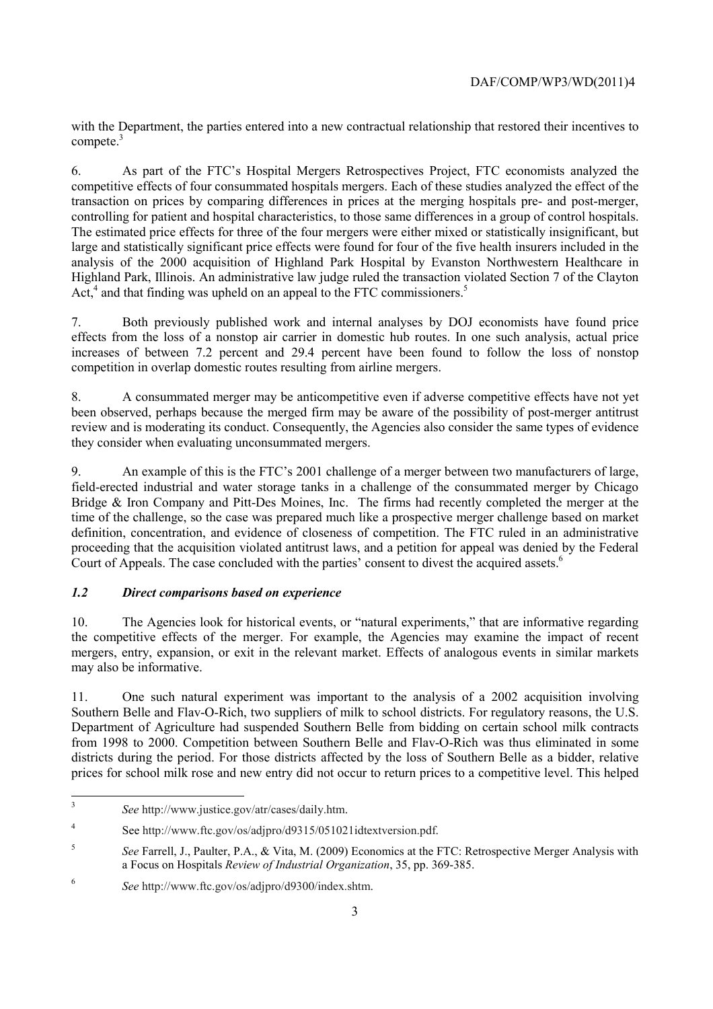with the Department, the parties entered into a new contractual relationship that restored their incentives to compete<sup>3</sup>

6. As part of the FTC's Hospital Mergers Retrospectives Project, FTC economists analyzed the competitive effects of four consummated hospitals mergers. Each of these studies analyzed the effect of the transaction on prices by comparing differences in prices at the merging hospitals pre- and post-merger, controlling for patient and hospital characteristics, to those same differences in a group of control hospitals. The estimated price effects for three of the four mergers were either mixed or statistically insignificant, but large and statistically significant price effects were found for four of the five health insurers included in the analysis of the 2000 acquisition of Highland Park Hospital by Evanston Northwestern Healthcare in Highland Park, Illinois. An administrative law judge ruled the transaction violated Section 7 of the Clayton Act,<sup>4</sup> and that finding was upheld on an appeal to the FTC commissioners.<sup>5</sup>

7. Both previously published work and internal analyses by DOJ economists have found price effects from the loss of a nonstop air carrier in domestic hub routes. In one such analysis, actual price increases of between 7.2 percent and 29.4 percent have been found to follow the loss of nonstop competition in overlap domestic routes resulting from airline mergers.

8. A consummated merger may be anticompetitive even if adverse competitive effects have not yet been observed, perhaps because the merged firm may be aware of the possibility of post-merger antitrust review and is moderating its conduct. Consequently, the Agencies also consider the same types of evidence they consider when evaluating unconsummated mergers.

9. An example of this is the FTC's 2001 challenge of a merger between two manufacturers of large, field-erected industrial and water storage tanks in a challenge of the consummated merger by Chicago Bridge & Iron Company and Pitt-Des Moines, Inc. The firms had recently completed the merger at the time of the challenge, so the case was prepared much like a prospective merger challenge based on market definition, concentration, and evidence of closeness of competition. The FTC ruled in an administrative proceeding that the acquisition violated antitrust laws, and a petition for appeal was denied by the Federal Court of Appeals. The case concluded with the parties' consent to divest the acquired assets.<sup>6</sup>

# *1.2 Direct comparisons based on experience*

 the competitive effects of the merger. For example, the Agencies may examine the impact of recent 10. The Agencies look for historical events, or "natural experiments," that are informative regarding mergers, entry, expansion, or exit in the relevant market. Effects of analogous events in similar markets may also be informative.

 prices for school milk rose and new entry did not occur to return prices to a competitive level. This helped 11. One such natural experiment was important to the analysis of a 2002 acquisition involving Southern Belle and Flav-O-Rich, two suppliers of milk to school districts. For regulatory reasons, the U.S. Department of Agriculture had suspended Southern Belle from bidding on certain school milk contracts from 1998 to 2000. Competition between Southern Belle and Flav-O-Rich was thus eliminated in some districts during the period. For those districts affected by the loss of Southern Belle as a bidder, relative

 $\overline{\mathbf{a}}$ <sup>3</sup>*See* http://www.justice.gov/atr/cases/daily.htm.

 $\overline{4}$ See http://www.ftc.gov/os/adjpro/d9315/051021idtextversion.pdf.

<sup>5</sup>*See* Farrell, J., Paulter, P.A., & Vita, M. (2009) Economics at the FTC: Retrospective Merger Analysis with a Focus on Hospitals *Review of Industrial Organization*, 35, pp. 369-385.

<sup>6</sup>*See* http://www.ftc.gov/os/adjpro/d9300/index.shtm.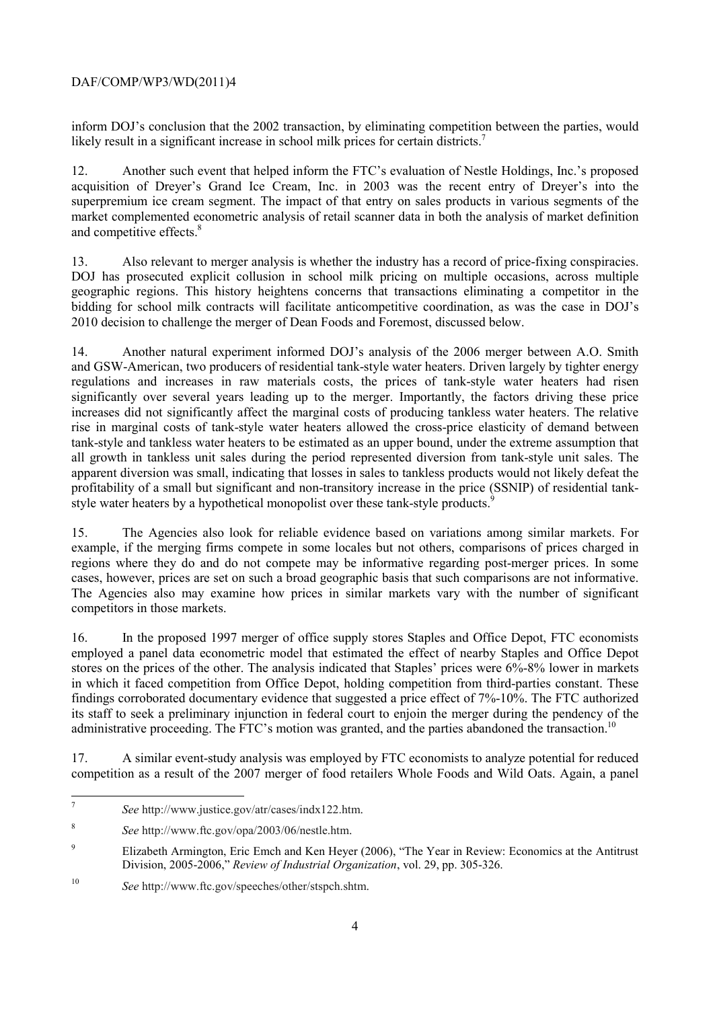inform DOJ's conclusion that the 2002 transaction, by eliminating competition between the parties, would likely result in a significant increase in school milk prices for certain districts.<sup>7</sup>

12. Another such event that helped inform the FTC's evaluation of Nestle Holdings, Inc.'s proposed acquisition of Dreyer's Grand Ice Cream, Inc. in 2003 was the recent entry of Dreyer's into the superpremium ice cream segment. The impact of that entry on sales products in various segments of the market complemented econometric analysis of retail scanner data in both the analysis of market definition and competitive effects.<sup>8</sup>

 geographic regions. This history heightens concerns that transactions eliminating a competitor in the 13. Also relevant to merger analysis is whether the industry has a record of price-fixing conspiracies. DOJ has prosecuted explicit collusion in school milk pricing on multiple occasions, across multiple bidding for school milk contracts will facilitate anticompetitive coordination, as was the case in DOJ's 2010 decision to challenge the merger of Dean Foods and Foremost, discussed below.

14. Another natural experiment informed DOJ's analysis of the 2006 merger between A.O. Smith and GSW-American, two producers of residential tank-style water heaters. Driven largely by tighter energy regulations and increases in raw materials costs, the prices of tank-style water heaters had risen significantly over several years leading up to the merger. Importantly, the factors driving these price increases did not significantly affect the marginal costs of producing tankless water heaters. The relative rise in marginal costs of tank-style water heaters allowed the cross-price elasticity of demand between tank-style and tankless water heaters to be estimated as an upper bound, under the extreme assumption that all growth in tankless unit sales during the period represented diversion from tank-style unit sales. The apparent diversion was small, indicating that losses in sales to tankless products would not likely defeat the profitability of a small but significant and non-transitory increase in the price (SSNIP) of residential tankstyle water heaters by a hypothetical monopolist over these tank-style products.

15. The Agencies also look for reliable evidence based on variations among similar markets. For example, if the merging firms compete in some locales but not others, comparisons of prices charged in regions where they do and do not compete may be informative regarding post-merger prices. In some cases, however, prices are set on such a broad geographic basis that such comparisons are not informative. The Agencies also may examine how prices in similar markets vary with the number of significant competitors in those markets.

16. In the proposed 1997 merger of office supply stores Staples and Office Depot, FTC economists employed a panel data econometric model that estimated the effect of nearby Staples and Office Depot stores on the prices of the other. The analysis indicated that Staples' prices were 6%-8% lower in markets in which it faced competition from Office Depot, holding competition from third-parties constant. These findings corroborated documentary evidence that suggested a price effect of 7%-10%. The FTC authorized its staff to seek a preliminary injunction in federal court to enjoin the merger during the pendency of the administrative proceeding. The FTC's motion was granted, and the parties abandoned the transaction.<sup>10</sup>

17. A similar event-study analysis was employed by FTC economists to analyze potential for reduced competition as a result of the 2007 merger of food retailers Whole Foods and Wild Oats. Again, a panel

<sup>7</sup>*See* http://www.justice.gov/atr/cases/indx122.htm.

<sup>8</sup>*See* http://www.ftc.gov/opa/2003/06/nestle.htm.

<sup>9</sup> Elizabeth Armington, Eric Emch and Ken Heyer (2006), "The Year in Review: Economics at the Antitrust Division, 2005-2006," *Review of Industrial Organization*, vol. 29, pp. 305-326.

<sup>10</sup>*See* http://www.ftc.gov/speeches/other/stspch.shtm.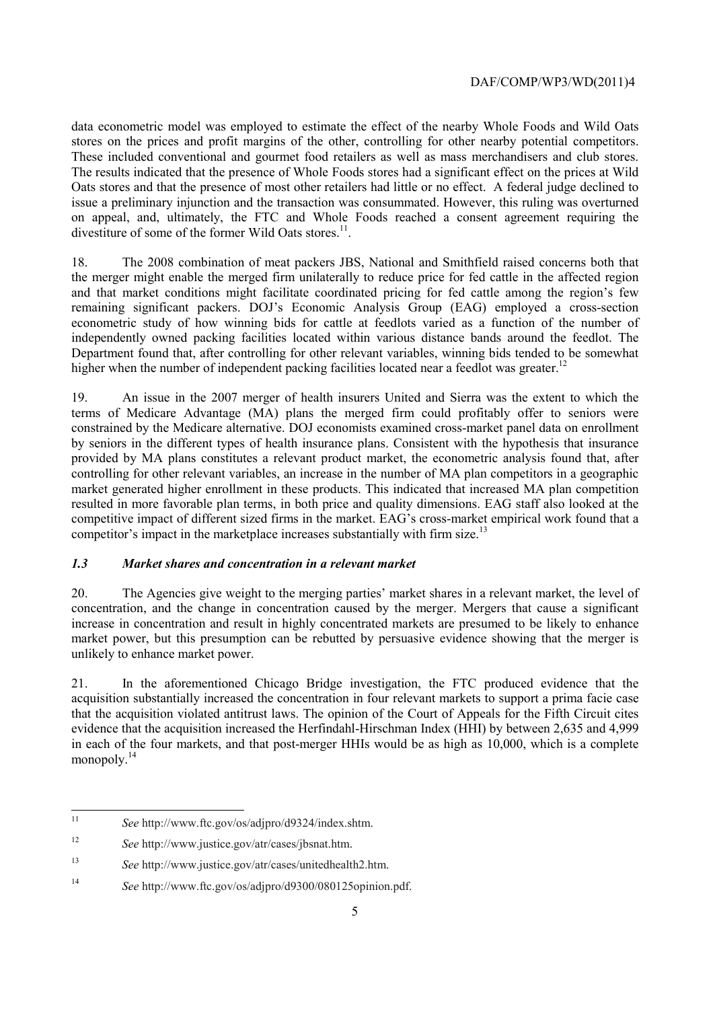data econometric model was employed to estimate the effect of the nearby Whole Foods and Wild Oats stores on the prices and profit margins of the other, controlling for other nearby potential competitors. These included conventional and gourmet food retailers as well as mass merchandisers and club stores. The results indicated that the presence of Whole Foods stores had a significant effect on the prices at Wild Oats stores and that the presence of most other retailers had little or no effect. A federal judge declined to issue a preliminary injunction and the transaction was consummated. However, this ruling was overturned on appeal, and, ultimately, the FTC and Whole Foods reached a consent agreement requiring the divestiture of some of the former Wild Oats stores.<sup>11</sup>

18. The 2008 combination of meat packers JBS, National and Smithfield raised concerns both that the merger might enable the merged firm unilaterally to reduce price for fed cattle in the affected region and that market conditions might facilitate coordinated pricing for fed cattle among the region's few remaining significant packers. DOJ's Economic Analysis Group (EAG) employed a cross-section econometric study of how winning bids for cattle at feedlots varied as a function of the number of independently owned packing facilities located within various distance bands around the feedlot. The Department found that, after controlling for other relevant variables, winning bids tended to be somewhat higher when the number of independent packing facilities located near a feedlot was greater.<sup>12</sup>

 provided by MA plans constitutes a relevant product market, the econometric analysis found that, after competitor's impact in the marketplace increases substantially with firm size.<sup>13</sup> 19. An issue in the 2007 merger of health insurers United and Sierra was the extent to which the terms of Medicare Advantage (MA) plans the merged firm could profitably offer to seniors were constrained by the Medicare alternative. DOJ economists examined cross-market panel data on enrollment by seniors in the different types of health insurance plans. Consistent with the hypothesis that insurance controlling for other relevant variables, an increase in the number of MA plan competitors in a geographic market generated higher enrollment in these products. This indicated that increased MA plan competition resulted in more favorable plan terms, in both price and quality dimensions. EAG staff also looked at the competitive impact of different sized firms in the market. EAG's cross-market empirical work found that a

#### *1.3 Market shares and concentration in a relevant market*

20. The Agencies give weight to the merging parties' market shares in a relevant market, the level of concentration, and the change in concentration caused by the merger. Mergers that cause a significant increase in concentration and result in highly concentrated markets are presumed to be likely to enhance market power, but this presumption can be rebutted by persuasive evidence showing that the merger is unlikely to enhance market power.

 21. In the aforementioned Chicago Bridge investigation, the FTC produced evidence that the acquisition substantially increased the concentration in four relevant markets to support a prima facie case that the acquisition violated antitrust laws. The opinion of the Court of Appeals for the Fifth Circuit cites evidence that the acquisition increased the Herfindahl-Hirschman Index (HHI) by between 2,635 and 4,999 in each of the four markets, and that post-merger HHIs would be as high as 10,000, which is a complete monopoly.<sup>14</sup>

 $\overline{a}$ 

<sup>11</sup>*See* http://www.ftc.gov/os/adjpro/d9324/index.shtm.

<sup>12</sup>*See* http://www.justice.gov/atr/cases/jbsnat.htm.

 $13$ <sup>13</sup>*See* http://www.justice.gov/atr/cases/unitedhealth2.htm.

<sup>14</sup>*See* http://www.ftc.gov/os/adjpro/d9300/080125opinion.pdf.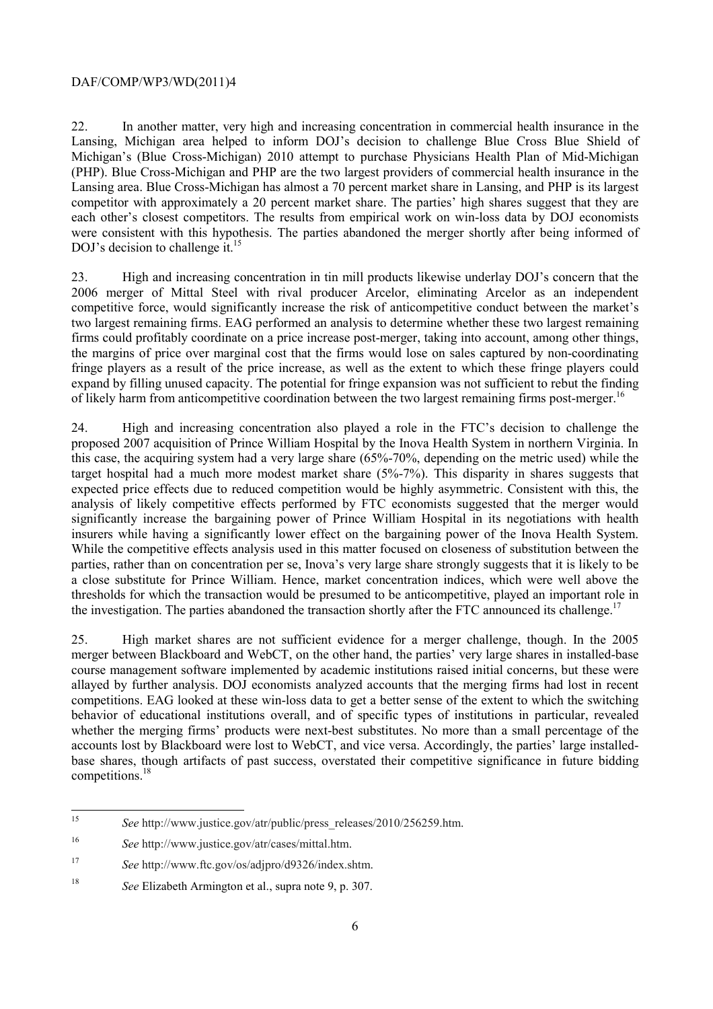22. In another matter, very high and increasing concentration in commercial health insurance in the Lansing, Michigan area helped to inform DOJ's decision to challenge Blue Cross Blue Shield of Michigan's (Blue Cross-Michigan) 2010 attempt to purchase Physicians Health Plan of Mid-Michigan (PHP). Blue Cross-Michigan and PHP are the two largest providers of commercial health insurance in the Lansing area. Blue Cross-Michigan has almost a 70 percent market share in Lansing, and PHP is its largest competitor with approximately a 20 percent market share. The parties' high shares suggest that they are each other's closest competitors. The results from empirical work on win-loss data by DOJ economists were consistent with this hypothesis. The parties abandoned the merger shortly after being informed of DOJ's decision to challenge it.<sup>15</sup>

of likely harm from anticompetitive coordination between the two largest remaining firms post-merger.<sup>16</sup> 23. High and increasing concentration in tin mill products likewise underlay DOJ's concern that the 2006 merger of Mittal Steel with rival producer Arcelor, eliminating Arcelor as an independent competitive force, would significantly increase the risk of anticompetitive conduct between the market's two largest remaining firms. EAG performed an analysis to determine whether these two largest remaining firms could profitably coordinate on a price increase post-merger, taking into account, among other things, the margins of price over marginal cost that the firms would lose on sales captured by non-coordinating fringe players as a result of the price increase, as well as the extent to which these fringe players could expand by filling unused capacity. The potential for fringe expansion was not sufficient to rebut the finding

24. High and increasing concentration also played a role in the FTC's decision to challenge the proposed 2007 acquisition of Prince William Hospital by the Inova Health System in northern Virginia. In this case, the acquiring system had a very large share (65%-70%, depending on the metric used) while the target hospital had a much more modest market share (5%-7%). This disparity in shares suggests that expected price effects due to reduced competition would be highly asymmetric. Consistent with this, the analysis of likely competitive effects performed by FTC economists suggested that the merger would significantly increase the bargaining power of Prince William Hospital in its negotiations with health insurers while having a significantly lower effect on the bargaining power of the Inova Health System. While the competitive effects analysis used in this matter focused on closeness of substitution between the parties, rather than on concentration per se, Inova's very large share strongly suggests that it is likely to be a close substitute for Prince William. Hence, market concentration indices, which were well above the thresholds for which the transaction would be presumed to be anticompetitive, played an important role in the investigation. The parties abandoned the transaction shortly after the FTC announced its challenge.<sup>17</sup>

competitions.<sup>18</sup> 25. High market shares are not sufficient evidence for a merger challenge, though. In the 2005 merger between Blackboard and WebCT, on the other hand, the parties' very large shares in installed-base course management software implemented by academic institutions raised initial concerns, but these were allayed by further analysis. DOJ economists analyzed accounts that the merging firms had lost in recent competitions. EAG looked at these win-loss data to get a better sense of the extent to which the switching behavior of educational institutions overall, and of specific types of institutions in particular, revealed whether the merging firms' products were next-best substitutes. No more than a small percentage of the accounts lost by Blackboard were lost to WebCT, and vice versa. Accordingly, the parties' large installedbase shares, though artifacts of past success, overstated their competitive significance in future bidding

 $\overline{a}$ 

See http://www.justice.gov/atr/public/press\_releases/2010/256259.htm.

<sup>16</sup> <sup>16</sup>*See* http://www.justice.gov/atr/cases/mittal.htm.

<sup>17</sup> <sup>17</sup>*See* http://www.ftc.gov/os/adjpro/d9326/index.shtm.

<sup>18</sup>*See* Elizabeth Armington et al., supra note 9, p. 307.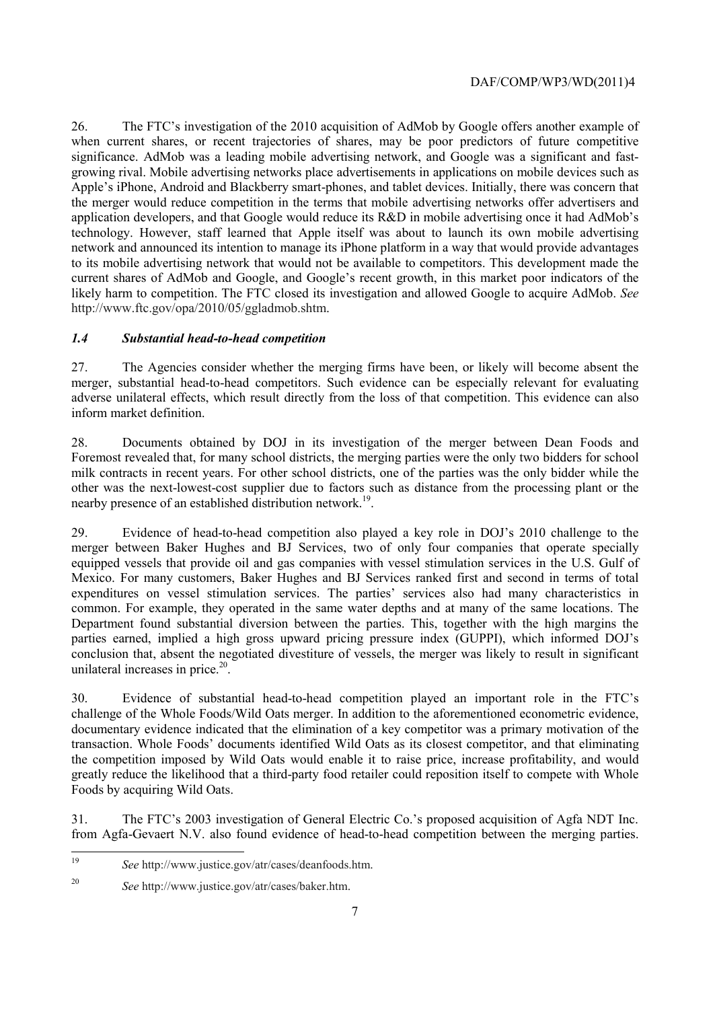26. The FTC's investigation of the 2010 acquisition of AdMob by Google offers another example of when current shares, or recent trajectories of shares, may be poor predictors of future competitive significance. AdMob was a leading mobile advertising network, and Google was a significant and fastgrowing rival. Mobile advertising networks place advertisements in applications on mobile devices such as Apple's iPhone, Android and Blackberry smart-phones, and tablet devices. Initially, there was concern that the merger would reduce competition in the terms that mobile advertising networks offer advertisers and application developers, and that Google would reduce its R&D in mobile advertising once it had AdMob's technology. However, staff learned that Apple itself was about to launch its own mobile advertising network and announced its intention to manage its iPhone platform in a way that would provide advantages to its mobile advertising network that would not be available to competitors. This development made the current shares of AdMob and Google, and Google's recent growth, in this market poor indicators of the likely harm to competition. The FTC closed its investigation and allowed Google to acquire AdMob. *See*  http://www.ftc.gov/opa/2010/05/ggladmob.shtm.

## *1.4 Substantial head-to-head competition*

 adverse unilateral effects, which result directly from the loss of that competition. This evidence can also 27. The Agencies consider whether the merging firms have been, or likely will become absent the merger, substantial head-to-head competitors. Such evidence can be especially relevant for evaluating inform market definition.

28. Documents obtained by DOJ in its investigation of the merger between Dean Foods and Foremost revealed that, for many school districts, the merging parties were the only two bidders for school milk contracts in recent years. For other school districts, one of the parties was the only bidder while the other was the next-lowest-cost supplier due to factors such as distance from the processing plant or the nearby presence of an established distribution network.<sup>19</sup>.

 29. Evidence of head-to-head competition also played a key role in DOJ's 2010 challenge to the merger between Baker Hughes and BJ Services, two of only four companies that operate specially equipped vessels that provide oil and gas companies with vessel stimulation services in the U.S. Gulf of Mexico. For many customers, Baker Hughes and BJ Services ranked first and second in terms of total expenditures on vessel stimulation services. The parties' services also had many characteristics in common. For example, they operated in the same water depths and at many of the same locations. The Department found substantial diversion between the parties. This, together with the high margins the parties earned, implied a high gross upward pricing pressure index (GUPPI), which informed DOJ's conclusion that, absent the negotiated divestiture of vessels, the merger was likely to result in significant unilateral increases in price. $20$ .

30. Evidence of substantial head-to-head competition played an important role in the FTC's challenge of the Whole Foods/Wild Oats merger. In addition to the aforementioned econometric evidence, documentary evidence indicated that the elimination of a key competitor was a primary motivation of the transaction. Whole Foods' documents identified Wild Oats as its closest competitor, and that eliminating the competition imposed by Wild Oats would enable it to raise price, increase profitability, and would greatly reduce the likelihood that a third-party food retailer could reposition itself to compete with Whole Foods by acquiring Wild Oats.

 31. The FTC's 2003 investigation of General Electric Co.'s proposed acquisition of Agfa NDT Inc. from Agfa-Gevaert N.V. also found evidence of head-to-head competition between the merging parties.

<sup>19</sup>*See* http://www.justice.gov/atr/cases/deanfoods.htm.

<sup>20</sup>*See* http://www.justice.gov/atr/cases/baker.htm.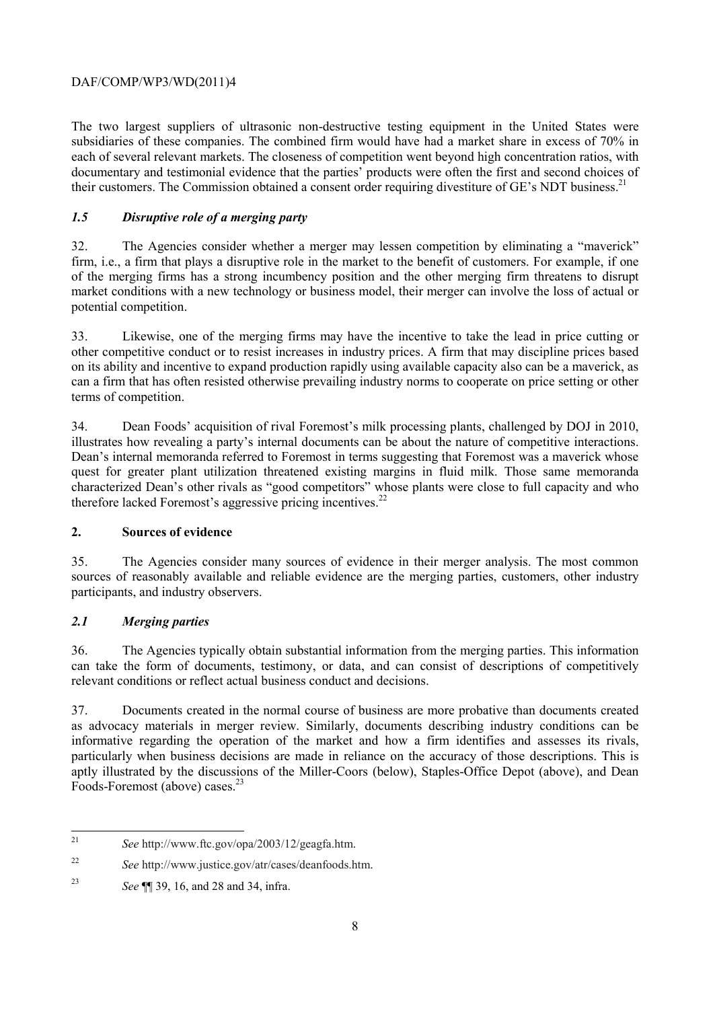their customers. The Commission obtained a consent order requiring divestiture of GE's NDT business.<sup>21</sup> The two largest suppliers of ultrasonic non-destructive testing equipment in the United States were subsidiaries of these companies. The combined firm would have had a market share in excess of 70% in each of several relevant markets. The closeness of competition went beyond high concentration ratios, with documentary and testimonial evidence that the parties' products were often the first and second choices of

# *1.5 Disruptive role of a merging party*

32. The Agencies consider whether a merger may lessen competition by eliminating a "maverick" firm, i.e., a firm that plays a disruptive role in the market to the benefit of customers. For example, if one of the merging firms has a strong incumbency position and the other merging firm threatens to disrupt market conditions with a new technology or business model, their merger can involve the loss of actual or potential competition.

33. Likewise, one of the merging firms may have the incentive to take the lead in price cutting or other competitive conduct or to resist increases in industry prices. A firm that may discipline prices based on its ability and incentive to expand production rapidly using available capacity also can be a maverick, as can a firm that has often resisted otherwise prevailing industry norms to cooperate on price setting or other terms of competition.

 illustrates how revealing a party's internal documents can be about the nature of competitive interactions. 34. Dean Foods' acquisition of rival Foremost's milk processing plants, challenged by DOJ in 2010, Dean's internal memoranda referred to Foremost in terms suggesting that Foremost was a maverick whose quest for greater plant utilization threatened existing margins in fluid milk. Those same memoranda characterized Dean's other rivals as "good competitors" whose plants were close to full capacity and who therefore lacked Foremost's aggressive pricing incentives. $^{22}$ 

# **2. Sources of evidence**

35. The Agencies consider many sources of evidence in their merger analysis. The most common sources of reasonably available and reliable evidence are the merging parties, customers, other industry participants, and industry observers.

# *2.1 Merging parties*

36. The Agencies typically obtain substantial information from the merging parties. This information can take the form of documents, testimony, or data, and can consist of descriptions of competitively relevant conditions or reflect actual business conduct and decisions.

37. Documents created in the normal course of business are more probative than documents created as advocacy materials in merger review. Similarly, documents describing industry conditions can be informative regarding the operation of the market and how a firm identifies and assesses its rivals, particularly when business decisions are made in reliance on the accuracy of those descriptions. This is aptly illustrated by the discussions of the Miller-Coors (below), Staples-Office Depot (above), and Dean Foods-Foremost (above) cases.<sup>23</sup>

 $\overline{a}$ <sup>21</sup>*See* http://www.ftc.gov/opa/2003/12/geagfa.htm.

 $22$ <sup>22</sup>*See* http://www.justice.gov/atr/cases/deanfoods.htm.

<sup>23</sup>*See* ¶¶ 39, 16, and 28 and 34, infra.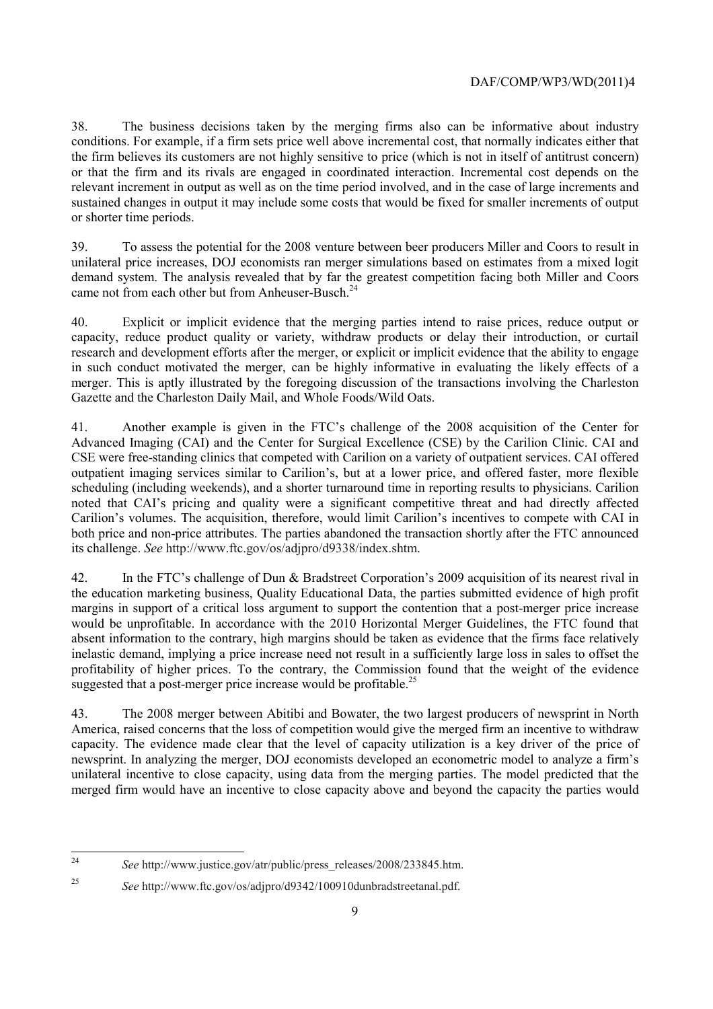38. The business decisions taken by the merging firms also can be informative about industry conditions. For example, if a firm sets price well above incremental cost, that normally indicates either that the firm believes its customers are not highly sensitive to price (which is not in itself of antitrust concern) or that the firm and its rivals are engaged in coordinated interaction. Incremental cost depends on the relevant increment in output as well as on the time period involved, and in the case of large increments and sustained changes in output it may include some costs that would be fixed for smaller increments of output or shorter time periods.

came not from each other but from Anheuser-Busch.<sup>24</sup> 39. To assess the potential for the 2008 venture between beer producers Miller and Coors to result in unilateral price increases, DOJ economists ran merger simulations based on estimates from a mixed logit demand system. The analysis revealed that by far the greatest competition facing both Miller and Coors

40. Explicit or implicit evidence that the merging parties intend to raise prices, reduce output or capacity, reduce product quality or variety, withdraw products or delay their introduction, or curtail research and development efforts after the merger, or explicit or implicit evidence that the ability to engage in such conduct motivated the merger, can be highly informative in evaluating the likely effects of a merger. This is aptly illustrated by the foregoing discussion of the transactions involving the Charleston Gazette and the Charleston Daily Mail, and Whole Foods/Wild Oats.

41. Another example is given in the FTC's challenge of the 2008 acquisition of the Center for Advanced Imaging (CAI) and the Center for Surgical Excellence (CSE) by the Carilion Clinic. CAI and CSE were free-standing clinics that competed with Carilion on a variety of outpatient services. CAI offered outpatient imaging services similar to Carilion's, but at a lower price, and offered faster, more flexible scheduling (including weekends), and a shorter turnaround time in reporting results to physicians. Carilion noted that CAI's pricing and quality were a significant competitive threat and had directly affected Carilion's volumes. The acquisition, therefore, would limit Carilion's incentives to compete with CAI in both price and non-price attributes. The parties abandoned the transaction shortly after the FTC announced its challenge. *See* http://www.ftc.gov/os/adjpro/d9338/index.shtm.

 inelastic demand, implying a price increase need not result in a sufficiently large loss in sales to offset the 42. In the FTC's challenge of Dun & Bradstreet Corporation's 2009 acquisition of its nearest rival in the education marketing business, Quality Educational Data, the parties submitted evidence of high profit margins in support of a critical loss argument to support the contention that a post-merger price increase would be unprofitable. In accordance with the 2010 Horizontal Merger Guidelines, the FTC found that absent information to the contrary, high margins should be taken as evidence that the firms face relatively profitability of higher prices. To the contrary, the Commission found that the weight of the evidence suggested that a post-merger price increase would be profitable.<sup>25</sup>

43. The 2008 merger between Abitibi and Bowater, the two largest producers of newsprint in North America, raised concerns that the loss of competition would give the merged firm an incentive to withdraw capacity. The evidence made clear that the level of capacity utilization is a key driver of the price of newsprint. In analyzing the merger, DOJ economists developed an econometric model to analyze a firm's unilateral incentive to close capacity, using data from the merging parties. The model predicted that the merged firm would have an incentive to close capacity above and beyond the capacity the parties would

<sup>24</sup>*See* http://www.justice.gov/atr/public/press\_releases/2008/233845.htm.

<sup>25</sup>*See* http://www.ftc.gov/os/adjpro/d9342/100910dunbradstreetanal.pdf.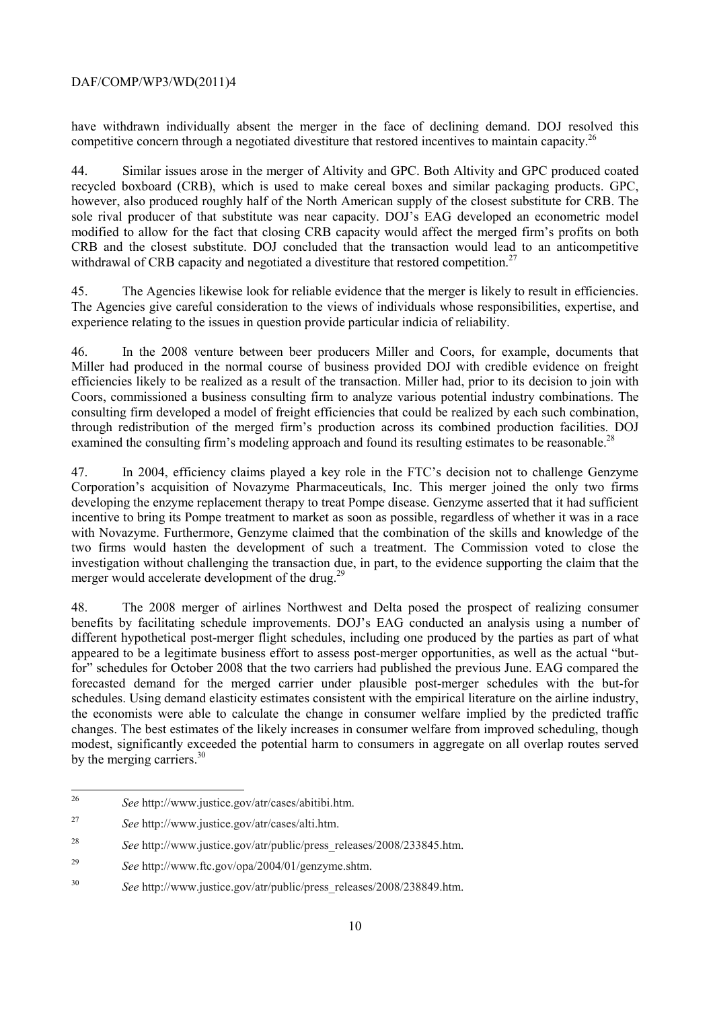have withdrawn individually absent the merger in the face of declining demand. DOJ resolved this competitive concern through a negotiated divestiture that restored incentives to maintain capacity.<sup>26</sup>

withdrawal of CRB capacity and negotiated a divestiture that restored competition.<sup>27</sup> 44. Similar issues arose in the merger of Altivity and GPC. Both Altivity and GPC produced coated recycled boxboard (CRB), which is used to make cereal boxes and similar packaging products. GPC, however, also produced roughly half of the North American supply of the closest substitute for CRB. The sole rival producer of that substitute was near capacity. DOJ's EAG developed an econometric model modified to allow for the fact that closing CRB capacity would affect the merged firm's profits on both CRB and the closest substitute. DOJ concluded that the transaction would lead to an anticompetitive

 45. The Agencies likewise look for reliable evidence that the merger is likely to result in efficiencies. The Agencies give careful consideration to the views of individuals whose responsibilities, expertise, and experience relating to the issues in question provide particular indicia of reliability.

46. In the 2008 venture between beer producers Miller and Coors, for example, documents that Miller had produced in the normal course of business provided DOJ with credible evidence on freight efficiencies likely to be realized as a result of the transaction. Miller had, prior to its decision to join with Coors, commissioned a business consulting firm to analyze various potential industry combinations. The consulting firm developed a model of freight efficiencies that could be realized by each such combination, through redistribution of the merged firm's production across its combined production facilities. DOJ examined the consulting firm's modeling approach and found its resulting estimates to be reasonable.<sup>28</sup>

 with Novazyme. Furthermore, Genzyme claimed that the combination of the skills and knowledge of the 47. In 2004, efficiency claims played a key role in the FTC's decision not to challenge Genzyme Corporation's acquisition of Novazyme Pharmaceuticals, Inc. This merger joined the only two firms developing the enzyme replacement therapy to treat Pompe disease. Genzyme asserted that it had sufficient incentive to bring its Pompe treatment to market as soon as possible, regardless of whether it was in a race two firms would hasten the development of such a treatment. The Commission voted to close the investigation without challenging the transaction due, in part, to the evidence supporting the claim that the merger would accelerate development of the drug.<sup>29</sup>

 for" schedules for October 2008 that the two carriers had published the previous June. EAG compared the 48. The 2008 merger of airlines Northwest and Delta posed the prospect of realizing consumer benefits by facilitating schedule improvements. DOJ's EAG conducted an analysis using a number of different hypothetical post-merger flight schedules, including one produced by the parties as part of what appeared to be a legitimate business effort to assess post-merger opportunities, as well as the actual "butforecasted demand for the merged carrier under plausible post-merger schedules with the but-for schedules. Using demand elasticity estimates consistent with the empirical literature on the airline industry, the economists were able to calculate the change in consumer welfare implied by the predicted traffic changes. The best estimates of the likely increases in consumer welfare from improved scheduling, though modest, significantly exceeded the potential harm to consumers in aggregate on all overlap routes served by the merging carriers.<sup>30</sup>

<sup>26</sup>*See* http://www.justice.gov/atr/cases/abitibi.htm.

<sup>27</sup>*See* http://www.justice.gov/atr/cases/alti.htm.

<sup>28</sup> <sup>28</sup>*See* http://www.justice.gov/atr/public/press\_releases/2008/233845.htm.

<sup>29</sup>*See* http://www.ftc.gov/opa/2004/01/genzyme.shtm.

<sup>30</sup>*See* http://www.justice.gov/atr/public/press\_releases/2008/238849.htm.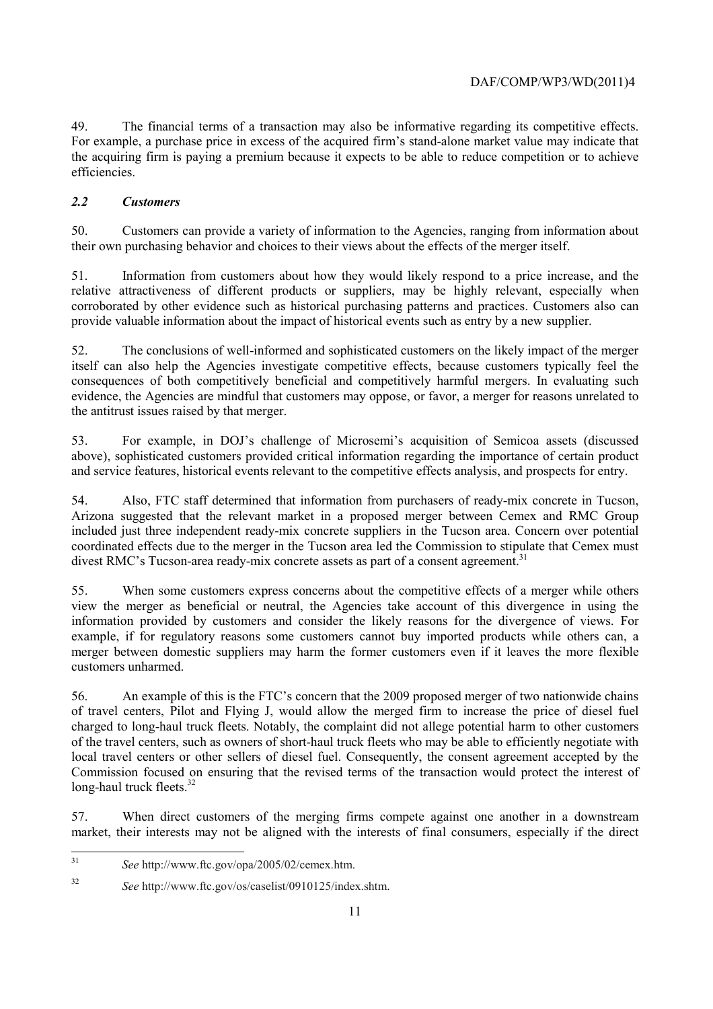49. The financial terms of a transaction may also be informative regarding its competitive effects. For example, a purchase price in excess of the acquired firm's stand-alone market value may indicate that the acquiring firm is paying a premium because it expects to be able to reduce competition or to achieve efficiencies.

# *2.2 Customers*

50. Customers can provide a variety of information to the Agencies, ranging from information about their own purchasing behavior and choices to their views about the effects of the merger itself.

51. Information from customers about how they would likely respond to a price increase, and the relative attractiveness of different products or suppliers, may be highly relevant, especially when corroborated by other evidence such as historical purchasing patterns and practices. Customers also can provide valuable information about the impact of historical events such as entry by a new supplier.

52. The conclusions of well-informed and sophisticated customers on the likely impact of the merger itself can also help the Agencies investigate competitive effects, because customers typically feel the consequences of both competitively beneficial and competitively harmful mergers. In evaluating such evidence, the Agencies are mindful that customers may oppose, or favor, a merger for reasons unrelated to the antitrust issues raised by that merger.

53. For example, in DOJ's challenge of Microsemi's acquisition of Semicoa assets (discussed above), sophisticated customers provided critical information regarding the importance of certain product

 and service features, historical events relevant to the competitive effects analysis, and prospects for entry. 54. Also, FTC staff determined that information from purchasers of ready-mix concrete in Tucson, Arizona suggested that the relevant market in a proposed merger between Cemex and RMC Group included just three independent ready-mix concrete suppliers in the Tucson area. Concern over potential coordinated effects due to the merger in the Tucson area led the Commission to stipulate that Cemex must divest RMC's Tucson-area ready-mix concrete assets as part of a consent agreement.<sup>31</sup>

55. When some customers express concerns about the competitive effects of a merger while others view the merger as beneficial or neutral, the Agencies take account of this divergence in using the information provided by customers and consider the likely reasons for the divergence of views. For example, if for regulatory reasons some customers cannot buy imported products while others can, a merger between domestic suppliers may harm the former customers even if it leaves the more flexible customers unharmed.

 56. An example of this is the FTC's concern that the 2009 proposed merger of two nationwide chains of travel centers, Pilot and Flying J, would allow the merged firm to increase the price of diesel fuel charged to long-haul truck fleets. Notably, the complaint did not allege potential harm to other customers of the travel centers, such as owners of short-haul truck fleets who may be able to efficiently negotiate with local travel centers or other sellers of diesel fuel. Consequently, the consent agreement accepted by the Commission focused on ensuring that the revised terms of the transaction would protect the interest of long-haul truck fleets. $32$ 

57. When direct customers of the merging firms compete against one another in a downstream market, their interests may not be aligned with the interests of final consumers, especially if the direct

 <sup>31</sup>*See* http://www.ftc.gov/opa/2005/02/cemex.htm.

<sup>32</sup>*See* http://www.ftc.gov/os/caselist/0910125/index.shtm.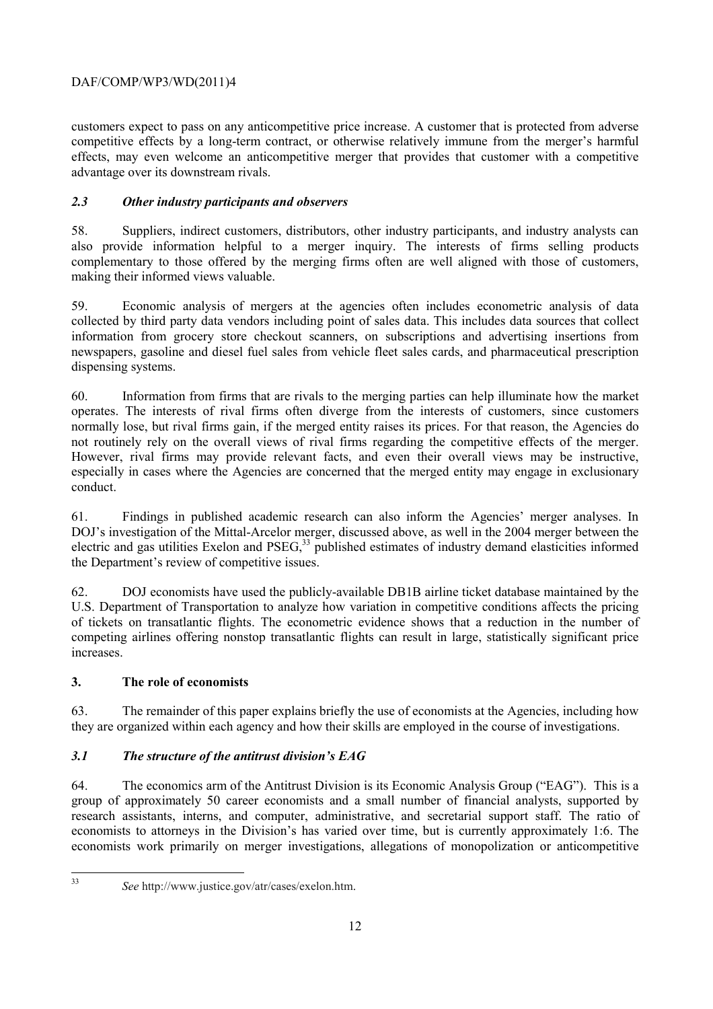customers expect to pass on any anticompetitive price increase. A customer that is protected from adverse competitive effects by a long-term contract, or otherwise relatively immune from the merger's harmful effects, may even welcome an anticompetitive merger that provides that customer with a competitive advantage over its downstream rivals.

# *2.3 Other industry participants and observers*

58. Suppliers, indirect customers, distributors, other industry participants, and industry analysts can also provide information helpful to a merger inquiry. The interests of firms selling products complementary to those offered by the merging firms often are well aligned with those of customers, making their informed views valuable.

59. Economic analysis of mergers at the agencies often includes econometric analysis of data collected by third party data vendors including point of sales data. This includes data sources that collect information from grocery store checkout scanners, on subscriptions and advertising insertions from newspapers, gasoline and diesel fuel sales from vehicle fleet sales cards, and pharmaceutical prescription dispensing systems.

60. Information from firms that are rivals to the merging parties can help illuminate how the market operates. The interests of rival firms often diverge from the interests of customers, since customers normally lose, but rival firms gain, if the merged entity raises its prices. For that reason, the Agencies do not routinely rely on the overall views of rival firms regarding the competitive effects of the merger. However, rival firms may provide relevant facts, and even their overall views may be instructive, especially in cases where the Agencies are concerned that the merged entity may engage in exclusionary conduct.

61. Findings in published academic research can also inform the Agencies' merger analyses. In DOJ's investigation of the Mittal-Arcelor merger, discussed above, as well in the 2004 merger between the electric and gas utilities Exelon and PSEG,<sup>33</sup> published estimates of industry demand elasticities informed the Department's review of competitive issues.

62. DOJ economists have used the publicly-available DB1B airline ticket database maintained by the U.S. Department of Transportation to analyze how variation in competitive conditions affects the pricing of tickets on transatlantic flights. The econometric evidence shows that a reduction in the number of competing airlines offering nonstop transatlantic flights can result in large, statistically significant price increases.

# **3. The role of economists**

63. The remainder of this paper explains briefly the use of economists at the Agencies, including how they are organized within each agency and how their skills are employed in the course of investigations.

# *3.1 The structure of the antitrust division's EAG*

64. The economics arm of the Antitrust Division is its Economic Analysis Group ("EAG"). This is a group of approximately 50 career economists and a small number of financial analysts, supported by research assistants, interns, and computer, administrative, and secretarial support staff. The ratio of economists to attorneys in the Division's has varied over time, but is currently approximately 1:6. The economists work primarily on merger investigations, allegations of monopolization or anticompetitive

*See* http://www.justice.gov/atr/cases/exelon.htm.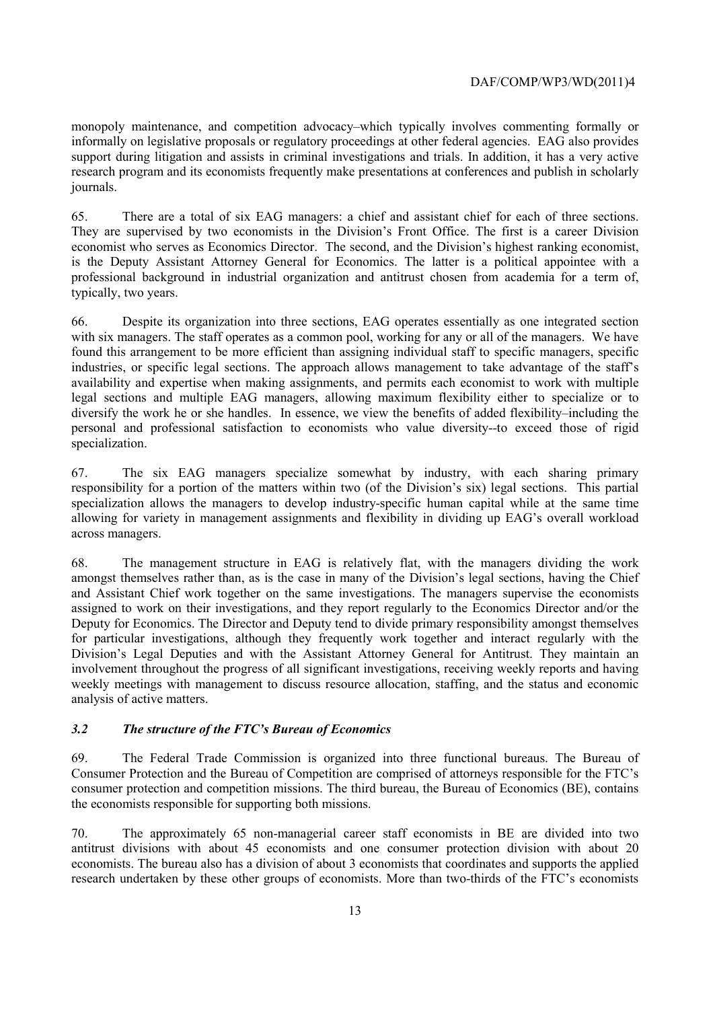monopoly maintenance, and competition advocacy–which typically involves commenting formally or informally on legislative proposals or regulatory proceedings at other federal agencies. EAG also provides support during litigation and assists in criminal investigations and trials. In addition, it has a very active research program and its economists frequently make presentations at conferences and publish in scholarly journals.

There are a total of six EAG managers: a chief and assistant chief for each of three sections. 65. There are a total of six EAG managers: a chief and assistant chief for each of three sections. They are supervised by two economists in the Division's Front Office. The first is a career Division economist who serves as Economics Director. The second, and the Division's highest ranking economist, is the Deputy Assistant Attorney General for Economics. The latter is a political appointee with a professional background in industrial organization and antitrust chosen from academia for a term of, typically, two years.

 with six managers. The staff operates as a common pool, working for any or all of the managers. We have 66. Despite its organization into three sections, EAG operates essentially as one integrated section found this arrangement to be more efficient than assigning individual staff to specific managers, specific industries, or specific legal sections. The approach allows management to take advantage of the staff's availability and expertise when making assignments, and permits each economist to work with multiple legal sections and multiple EAG managers, allowing maximum flexibility either to specialize or to diversify the work he or she handles. In essence, we view the benefits of added flexibility–including the personal and professional satisfaction to economists who value diversity--to exceed those of rigid specialization.

 responsibility for a portion of the matters within two (of the Division's six) legal sections. This partial 67. The six EAG managers specialize somewhat by industry, with each sharing primary specialization allows the managers to develop industry-specific human capital while at the same time allowing for variety in management assignments and flexibility in dividing up EAG's overall workload across managers.

 amongst themselves rather than, as is the case in many of the Division's legal sections, having the Chief assigned to work on their investigations, and they report regularly to the Economics Director and/or the 68. The management structure in EAG is relatively flat, with the managers dividing the work and Assistant Chief work together on the same investigations. The managers supervise the economists Deputy for Economics. The Director and Deputy tend to divide primary responsibility amongst themselves for particular investigations, although they frequently work together and interact regularly with the Division's Legal Deputies and with the Assistant Attorney General for Antitrust. They maintain an involvement throughout the progress of all significant investigations, receiving weekly reports and having weekly meetings with management to discuss resource allocation, staffing, and the status and economic analysis of active matters.

#### *3.2 The structure of the FTC's Bureau of Economics*

69. The Federal Trade Commission is organized into three functional bureaus. The Bureau of Consumer Protection and the Bureau of Competition are comprised of attorneys responsible for the FTC's consumer protection and competition missions. The third bureau, the Bureau of Economics (BE), contains the economists responsible for supporting both missions.

70. The approximately 65 non-managerial career staff economists in BE are divided into two antitrust divisions with about 45 economists and one consumer protection division with about 20 economists. The bureau also has a division of about 3 economists that coordinates and supports the applied research undertaken by these other groups of economists. More than two-thirds of the FTC's economists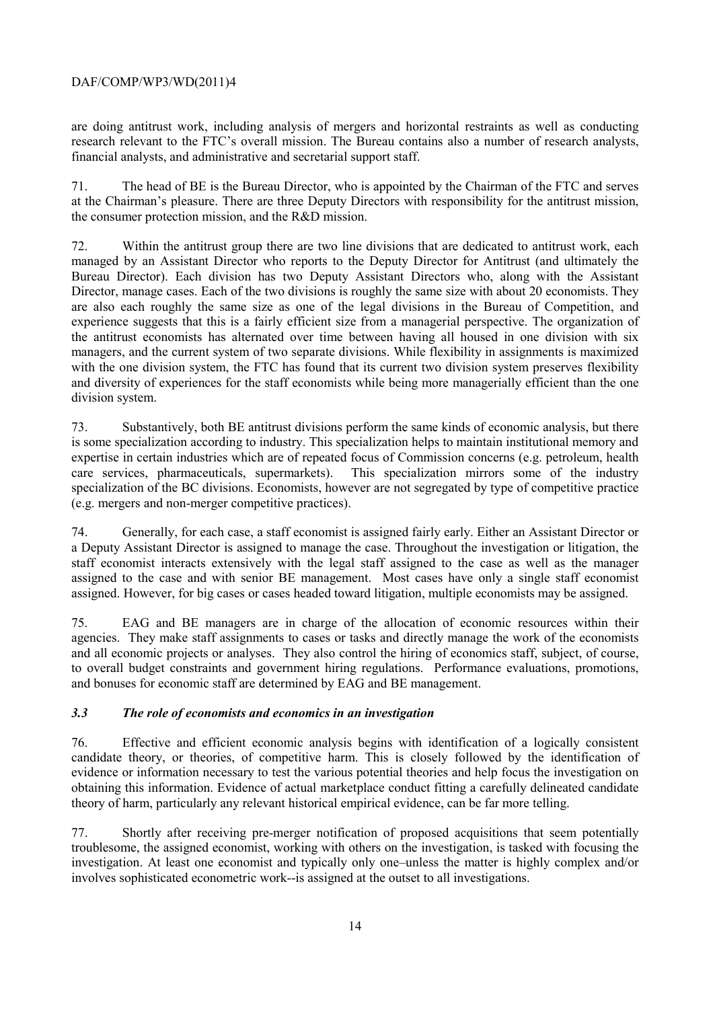are doing antitrust work, including analysis of mergers and horizontal restraints as well as conducting research relevant to the FTC's overall mission. The Bureau contains also a number of research analysts, financial analysts, and administrative and secretarial support staff.

71. The head of BE is the Bureau Director, who is appointed by the Chairman of the FTC and serves at the Chairman's pleasure. There are three Deputy Directors with responsibility for the antitrust mission, the consumer protection mission, and the R&D mission.

 Director, manage cases. Each of the two divisions is roughly the same size with about 20 economists. They 72. Within the antitrust group there are two line divisions that are dedicated to antitrust work, each managed by an Assistant Director who reports to the Deputy Director for Antitrust (and ultimately the Bureau Director). Each division has two Deputy Assistant Directors who, along with the Assistant are also each roughly the same size as one of the legal divisions in the Bureau of Competition, and experience suggests that this is a fairly efficient size from a managerial perspective. The organization of the antitrust economists has alternated over time between having all housed in one division with six managers, and the current system of two separate divisions. While flexibility in assignments is maximized with the one division system, the FTC has found that its current two division system preserves flexibility and diversity of experiences for the staff economists while being more managerially efficient than the one division system.

73. Substantively, both BE antitrust divisions perform the same kinds of economic analysis, but there is some specialization according to industry. This specialization helps to maintain institutional memory and expertise in certain industries which are of repeated focus of Commission concerns (e.g. petroleum, health care services, pharmaceuticals, supermarkets). This specialization mirrors some of the industry specialization of the BC divisions. Economists, however are not segregated by type of competitive practice (e.g. mergers and non-merger competitive practices).

74. Generally, for each case, a staff economist is assigned fairly early. Either an Assistant Director or a Deputy Assistant Director is assigned to manage the case. Throughout the investigation or litigation, the staff economist interacts extensively with the legal staff assigned to the case as well as the manager assigned to the case and with senior BE management. Most cases have only a single staff economist assigned. However, for big cases or cases headed toward litigation, multiple economists may be assigned.

75. EAG and BE managers are in charge of the allocation of economic resources within their agencies. They make staff assignments to cases or tasks and directly manage the work of the economists and all economic projects or analyses. They also control the hiring of economics staff, subject, of course, to overall budget constraints and government hiring regulations. Performance evaluations, promotions, and bonuses for economic staff are determined by EAG and BE management.

#### *3.3 The role of economists and economics in an investigation*

 obtaining this information. Evidence of actual marketplace conduct fitting a carefully delineated candidate 76. Effective and efficient economic analysis begins with identification of a logically consistent candidate theory, or theories, of competitive harm. This is closely followed by the identification of evidence or information necessary to test the various potential theories and help focus the investigation on theory of harm, particularly any relevant historical empirical evidence, can be far more telling.

77. Shortly after receiving pre-merger notification of proposed acquisitions that seem potentially troublesome, the assigned economist, working with others on the investigation, is tasked with focusing the investigation. At least one economist and typically only one–unless the matter is highly complex and/or involves sophisticated econometric work--is assigned at the outset to all investigations.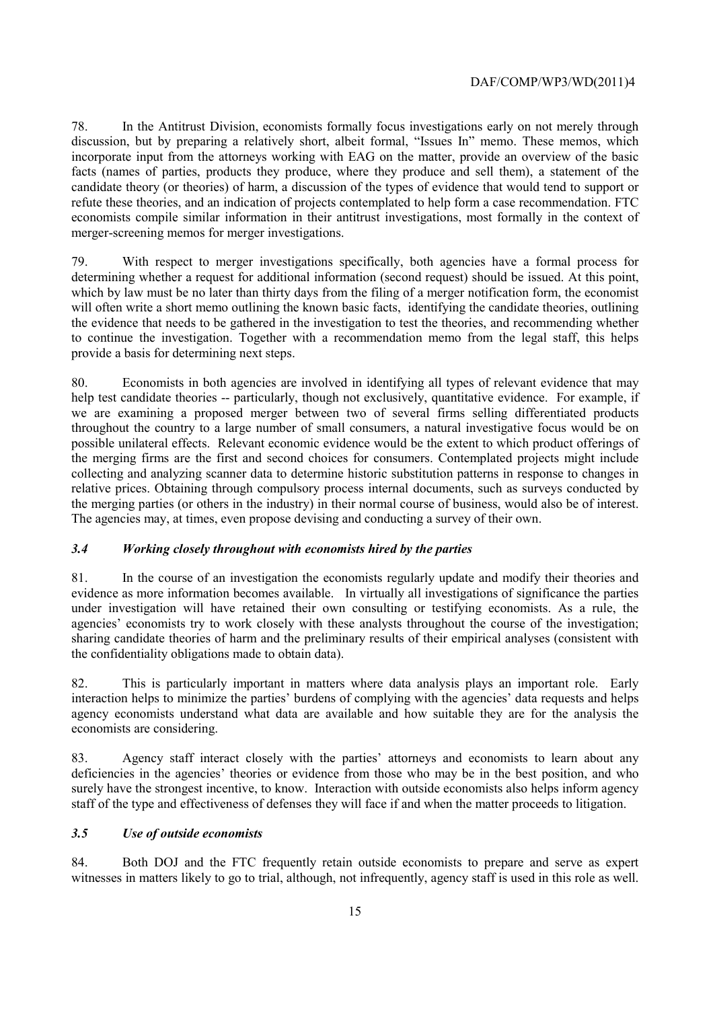economists compile similar information in their antitrust investigations, most formally in the context of 78. In the Antitrust Division, economists formally focus investigations early on not merely through discussion, but by preparing a relatively short, albeit formal, "Issues In" memo. These memos, which incorporate input from the attorneys working with EAG on the matter, provide an overview of the basic facts (names of parties, products they produce, where they produce and sell them), a statement of the candidate theory (or theories) of harm, a discussion of the types of evidence that would tend to support or refute these theories, and an indication of projects contemplated to help form a case recommendation. FTC merger-screening memos for merger investigations.

 provide a basis for determining next steps. 79. With respect to merger investigations specifically, both agencies have a formal process for determining whether a request for additional information (second request) should be issued. At this point, which by law must be no later than thirty days from the filing of a merger notification form, the economist will often write a short memo outlining the known basic facts, identifying the candidate theories, outlining the evidence that needs to be gathered in the investigation to test the theories, and recommending whether to continue the investigation. Together with a recommendation memo from the legal staff, this helps

 the merging parties (or others in the industry) in their normal course of business, would also be of interest. The agencies may, at times, even propose devising and conducting a survey of their own. 80. Economists in both agencies are involved in identifying all types of relevant evidence that may help test candidate theories -- particularly, though not exclusively, quantitative evidence. For example, if we are examining a proposed merger between two of several firms selling differentiated products throughout the country to a large number of small consumers, a natural investigative focus would be on possible unilateral effects. Relevant economic evidence would be the extent to which product offerings of the merging firms are the first and second choices for consumers. Contemplated projects might include collecting and analyzing scanner data to determine historic substitution patterns in response to changes in relative prices. Obtaining through compulsory process internal documents, such as surveys conducted by

#### *3.4 Working closely throughout with economists hired by the parties*

81. In the course of an investigation the economists regularly update and modify their theories and evidence as more information becomes available. In virtually all investigations of significance the parties under investigation will have retained their own consulting or testifying economists. As a rule, the agencies' economists try to work closely with these analysts throughout the course of the investigation; sharing candidate theories of harm and the preliminary results of their empirical analyses (consistent with the confidentiality obligations made to obtain data).

82. This is particularly important in matters where data analysis plays an important role. Early interaction helps to minimize the parties' burdens of complying with the agencies' data requests and helps agency economists understand what data are available and how suitable they are for the analysis the economists are considering.

 deficiencies in the agencies' theories or evidence from those who may be in the best position, and who 83. Agency staff interact closely with the parties' attorneys and economists to learn about any surely have the strongest incentive, to know. Interaction with outside economists also helps inform agency staff of the type and effectiveness of defenses they will face if and when the matter proceeds to litigation.

#### *3.5 Use of outside economists*

witnesses in matters likely to go to trial, although, not infrequently, agency staff is used in this role as well.<br>15 84. Both DOJ and the FTC frequently retain outside economists to prepare and serve as expert